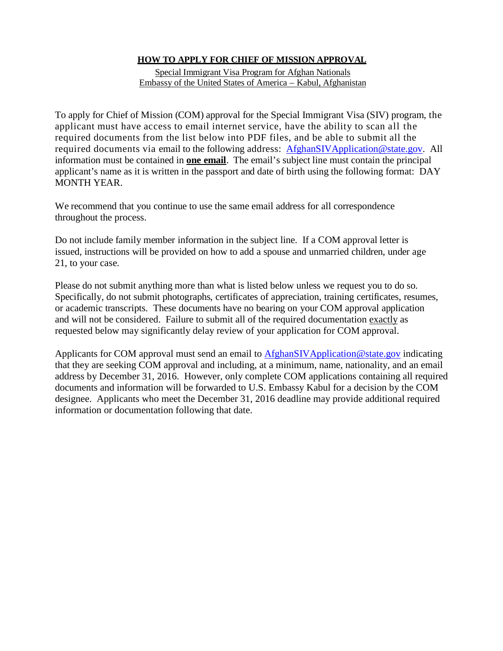## **HOW TO APPLY FOR CHIEF OF MISSION APPROVAL**

Special Immigrant Visa Program for Afghan Nationals Embassy of the United States of America – Kabul, Afghanistan

To apply for Chief of Mission (COM) approval for the Special Immigrant Visa (SIV) program, the applicant must have access to email internet service, have the ability to scan all the required documents from the list below into PDF files, and be able to submit all the required documents via email to the following address: [AfghanSIVApplication@state.gov.](mailto:AfghanSIVApplication@state.gov) All information must be contained in **one email**. The email's subject line must contain the principal applicant's name as it is written in the passport and date of birth using the following format: DAY MONTH YEAR.

We recommend that you continue to use the same email address for all correspondence throughout the process.

Do not include family member information in the subject line. If a COM approval letter is issued, instructions will be provided on how to add a spouse and unmarried children, under age 21, to your case.

Please do not submit anything more than what is listed below unless we request you to do so. Specifically, do not submit photographs, certificates of appreciation, training certificates, resumes, or academic transcripts. These documents have no bearing on your COM approval application and will not be considered. Failure to submit all of the required documentation exactly as requested below may significantly delay review of your application for COM approval.

Applicants for COM approval must send an email to [AfghanSIVApplication@state.gov](mailto:AfghanSIVApplication@state.gov) indicating that they are seeking COM approval and including, at a minimum, name, nationality, and an email address by December 31, 2016. However, only complete COM applications containing all required documents and information will be forwarded to U.S. Embassy Kabul for a decision by the COM designee. Applicants who meet the December 31, 2016 deadline may provide additional required information or documentation following that date.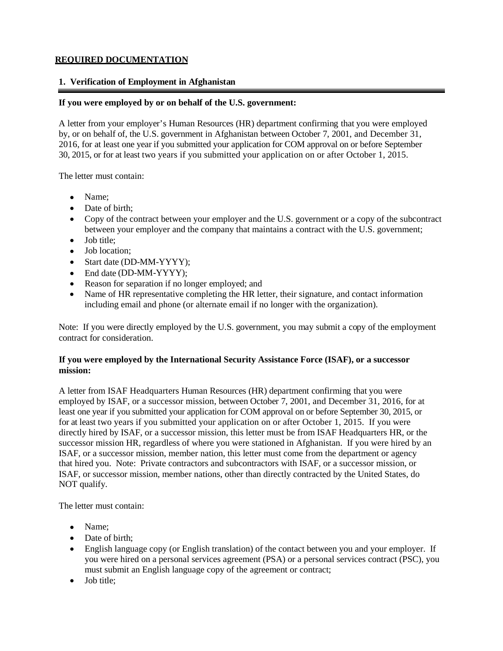## **REQUIRED DOCUMENTATION**

## **1. Verification of Employment in Afghanistan**

### **If you were employed by or on behalf of the U.S. government:**

A letter from your employer's Human Resources (HR) department confirming that you were employed by, or on behalf of, the U.S. government in Afghanistan between October 7, 2001, and December 31, 2016, for at least one year if you submitted your application for COM approval on or before September 30, 2015, or for at least two years if you submitted your application on or after October 1, 2015.

The letter must contain:

- Name;
- Date of birth;
- Copy of the contract between your employer and the U.S. government or a copy of the subcontract between your employer and the company that maintains a contract with the U.S. government;
- Job title;
- Job location;
- Start date (DD-MM-YYYY);
- End date (DD-MM-YYYY);
- Reason for separation if no longer employed; and
- Name of HR representative completing the HR letter, their signature, and contact information including email and phone (or alternate email if no longer with the organization).

Note: If you were directly employed by the U.S. government, you may submit a copy of the employment contract for consideration.

## **If you were employed by the International Security Assistance Force (ISAF), or a successor mission:**

A letter from ISAF Headquarters Human Resources (HR) department confirming that you were employed by ISAF, or a successor mission, between October 7, 2001, and December 31, 2016, for at least one year if you submitted your application for COM approval on or before September 30, 2015, or for at least two years if you submitted your application on or after October 1, 2015. If you were directly hired by ISAF, or a successor mission, this letter must be from ISAF Headquarters HR, or the successor mission HR, regardless of where you were stationed in Afghanistan. If you were hired by an ISAF, or a successor mission, member nation, this letter must come from the department or agency that hired you. Note: Private contractors and subcontractors with ISAF, or a successor mission, or ISAF, or successor mission, member nations, other than directly contracted by the United States, do NOT qualify.

The letter must contain:

- Name:
- Date of birth;
- English language copy (or English translation) of the contact between you and your employer. If you were hired on a personal services agreement (PSA) or a personal services contract (PSC), you must submit an English language copy of the agreement or contract;
- Job title;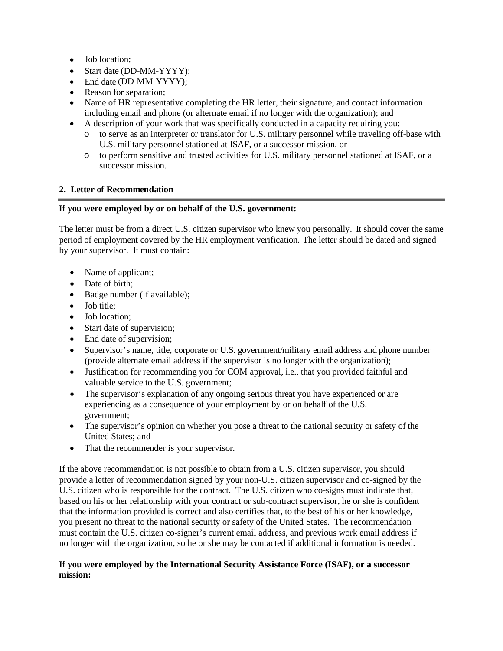- Job location:
- Start date (DD-MM-YYYY);
- End date (DD-MM-YYYY);
- Reason for separation;
- Name of HR representative completing the HR letter, their signature, and contact information including email and phone (or alternate email if no longer with the organization); and
- A description of your work that was specifically conducted in a capacity requiring you:
	- o to serve as an interpreter or translator for U.S. military personnel while traveling off-base with U.S. military personnel stationed at ISAF, or a successor mission, or
	- o to perform sensitive and trusted activities for U.S. military personnel stationed at ISAF, or a successor mission.

#### **2. Letter of Recommendation**

#### **If you were employed by or on behalf of the U.S. government:**

The letter must be from a direct U.S. citizen supervisor who knew you personally. It should cover the same period of employment covered by the HR employment verification. The letter should be dated and signed by your supervisor. It must contain:

- Name of applicant;
- Date of birth;
- Badge number (if available);
- Job title:
- Job location;
- Start date of supervision;
- End date of supervision;
- Supervisor's name, title, corporate or U.S. government/military email address and phone number (provide alternate email address if the supervisor is no longer with the organization);
- Justification for recommending you for COM approval, i.e., that you provided faithful and valuable service to the U.S. government;
- The supervisor's explanation of any ongoing serious threat you have experienced or are experiencing as a consequence of your employment by or on behalf of the U.S. government;
- The supervisor's opinion on whether you pose a threat to the national security or safety of the United States; and
- That the recommender is your supervisor.

If the above recommendation is not possible to obtain from a U.S. citizen supervisor, you should provide a letter of recommendation signed by your non-U.S. citizen supervisor and co-signed by the U.S. citizen who is responsible for the contract. The U.S. citizen who co-signs must indicate that, based on his or her relationship with your contract or sub-contract supervisor, he or she is confident that the information provided is correct and also certifies that, to the best of his or her knowledge, you present no threat to the national security or safety of the United States. The recommendation must contain the U.S. citizen co-signer's current email address, and previous work email address if no longer with the organization, so he or she may be contacted if additional information is needed.

#### **If you were employed by the International Security Assistance Force (ISAF), or a successor mission:**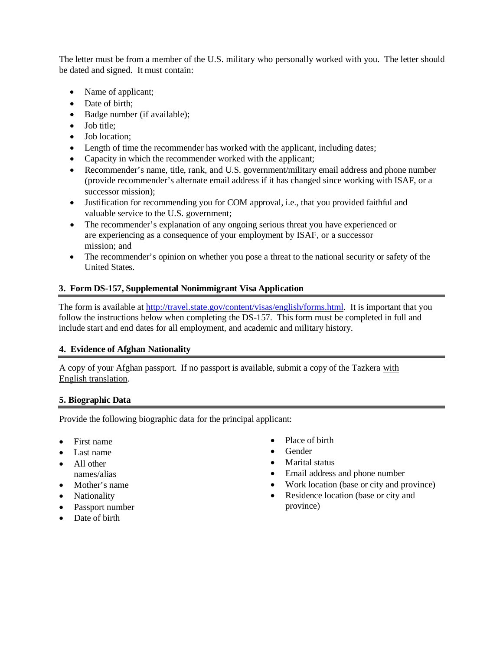The letter must be from a member of the U.S. military who personally worked with you. The letter should be dated and signed. It must contain:

- Name of applicant;
- Date of birth;
- Badge number (if available);
- Job title;
- Job location;
- Length of time the recommender has worked with the applicant, including dates;
- Capacity in which the recommender worked with the applicant;
- Recommender's name, title, rank, and U.S. government/military email address and phone number (provide recommender's alternate email address if it has changed since working with ISAF, or a successor mission);
- Justification for recommending you for COM approval, i.e., that you provided faithful and valuable service to the U.S. government;
- The recommender's explanation of any ongoing serious threat you have experienced or are experiencing as a consequence of your employment by ISAF, or a successor mission; and
- The recommender's opinion on whether you pose a threat to the national security or safety of the United States.

## **3. Form DS-157, Supplemental Nonimmigrant Visa Application**

The form is available at [http://travel.state.gov/content/visas/english/forms.html.](http://travel.state.gov/content/visas/english/forms.html) It is important that you follow the instructions below when completing the DS-157. This form must be completed in full and include start and end dates for all employment, and academic and military history.

#### **4. Evidence of Afghan Nationality**

A copy of your Afghan passport. If no passport is available, submit a copy of the Tazkera with English translation.

#### **5. Biographic Data**

Provide the following biographic data for the principal applicant:

- First name
- Last name
- All other names/alias
- Mother's name
- Nationality
- Passport number
- Date of birth
- Place of birth
- Gender
- Marital status
- Email address and phone number
- Work location (base or city and province)
- Residence location (base or city and province)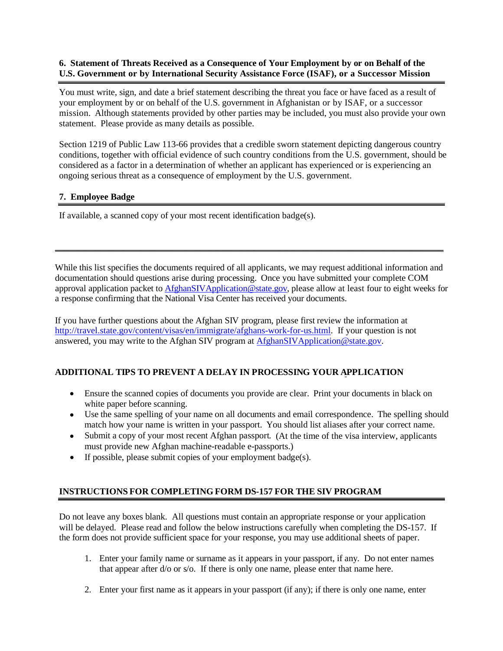## **6. Statement of Threats Received as a Consequence of Your Employment by or on Behalf of the U.S. Government or by International Security Assistance Force (ISAF), or a Successor Mission**

You must write, sign, and date a brief statement describing the threat you face or have faced as a result of your employment by or on behalf of the U.S. government in Afghanistan or by ISAF, or a successor mission. Although statements provided by other parties may be included, you must also provide your own statement. Please provide as many details as possible.

Section 1219 of Public Law 113-66 provides that a credible sworn statement depicting dangerous country conditions, together with official evidence of such country conditions from the U.S. government, should be considered as a factor in a determination of whether an applicant has experienced or is experiencing an ongoing serious threat as a consequence of employment by the U.S. government.

## **7. Employee Badge**

If available, a scanned copy of your most recent identification badge(s).

While this list specifies the documents required of all applicants, we may request additional information and documentation should questions arise during processing. Once you have submitted your complete COM approval application packet t[o AfghanSIVApplication@state.gov,](mailto:AfghanSIVApplication@state.gov) please allow at least four to eight weeks for a response confirming that the National Visa Center has received your documents.

\_\_\_\_\_\_\_\_\_\_\_\_\_\_\_\_\_\_\_\_\_\_\_\_\_\_\_\_\_\_\_\_\_\_\_\_\_\_\_\_\_\_\_\_\_\_\_\_\_\_\_\_\_\_\_\_\_\_\_\_\_\_\_\_\_\_\_\_\_\_\_\_\_\_\_\_\_\_\_\_\_\_\_\_\_\_

If you have further questions about the Afghan SIV program, please first review the information at [http://travel.state.gov/content/visas/en/immigrate/afghans-work-for-us.html.](http://travel.state.gov/content/visas/en/immigrate/afghans-work-for-us.html) If your question is not answered, you may write to the Afghan SIV program at [AfghanSIVApplication@state.gov.](mailto:AfghanSIVApplication@state.gov)

# **ADDITIONAL TIPS TO PREVENT A DELAY IN PROCESSING YOUR APPLICATION**

- Ensure the scanned copies of documents you provide are clear. Print your documents in black on white paper before scanning.
- Use the same spelling of your name on all documents and email correspondence. The spelling should match how your name is written in your passport. You should list aliases after your correct name.
- Submit a copy of your most recent Afghan passport. (At the time of the visa interview, applicants must provide new Afghan machine-readable e-passports.)
- If possible, please submit copies of your employment badge(s).

# **INSTRUCTIONS FOR COMPLETING FORM DS-157 FOR THE SIV PROGRAM**

Do not leave any boxes blank. All questions must contain an appropriate response or your application will be delayed. Please read and follow the below instructions carefully when completing the DS-157. If the form does not provide sufficient space for your response, you may use additional sheets of paper.

- 1. Enter your family name or surname as it appears in your passport, if any. Do not enter names that appear after d/o or s/o. If there is only one name, please enter that name here.
- 2. Enter your first name as it appears in your passport (if any); if there is only one name, enter